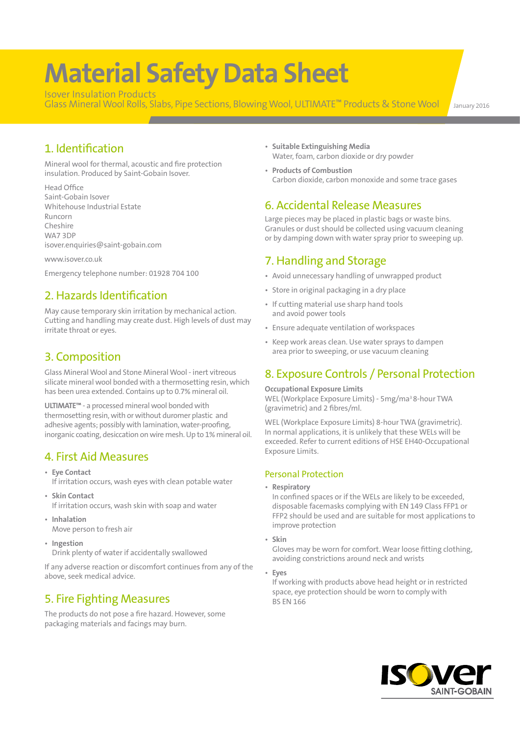# **Material Safety Data Sheet**

Isover Insulation Products Glass Mineral Wool Rolls, Slabs, Pipe Sections, Blowing Wool, ULTIMATE<sup>™</sup> Products & Stone Wool January 2016

# 1. Identification

Mineral wool for thermal, acoustic and fire protection insulation. Produced by Saint-Gobain Isover.

Head Office Saint-Gobain Isover Whitehouse Industrial Estate Runcorn Cheshire WA7 3DP isover.enquiries@saint-gobain.com

www.isover.co.uk

Emergency telephone number: 01928 704 100

# 2. Hazards Identification

May cause temporary skin irritation by mechanical action. Cutting and handling may create dust. High levels of dust may irritate throat or eyes.

# 3. Composition

Glass Mineral Wool and Stone Mineral Wool - inert vitreous silicate mineral wool bonded with a thermosetting resin, which has been urea extended. Contains up to 0.7% mineral oil.

**ULTIMATE™** - a processed mineral wool bonded with thermosetting resin, with or without duromer plastic and adhesive agents; possibly with lamination, water-proofing, inorganic coating, desiccation on wire mesh. Up to 1% mineral oil.

# 4. First Aid Measures

- **Eye Contact** If irritation occurs, wash eyes with clean potable water
- **Skin Contact** If irritation occurs, wash skin with soap and water
- **Inhalation** Move person to fresh air
- **Ingestion** Drink plenty of water if accidentally swallowed

If any adverse reaction or discomfort continues from any of the above, seek medical advice.

# 5. Fire Fighting Measures

The products do not pose a fire hazard. However, some packaging materials and facings may burn.

- **Suitable Extinguishing Media** Water, foam, carbon dioxide or dry powder
- **Products of Combustion** Carbon dioxide, carbon monoxide and some trace gases

## 6. Accidental Release Measures

Large pieces may be placed in plastic bags or waste bins. Granules or dust should be collected using vacuum cleaning or by damping down with water spray prior to sweeping up.

# 7. Handling and Storage

- Avoid unnecessary handling of unwrapped product
- Store in original packaging in a dry place
- If cutting material use sharp hand tools and avoid power tools
- Ensure adequate ventilation of workspaces
- Keep work areas clean. Use water sprays to dampen area prior to sweeping, or use vacuum cleaning

# 8. Exposure Controls / Personal Protection

**Occupational Exposure Limits**

WEL (Workplace Exposure Limits) - 5mg/ma3 8-hour TWA (gravimetric) and 2 fibres/ml.

WEL (Workplace Exposure Limits) 8-hour TWA (gravimetric). In normal applications, it is unlikely that these WELs will be exceeded. Refer to current editions of HSE EH40-Occupational Exposure Limits.

### Personal Protection

• **Respiratory**

In confined spaces or if the WELs are likely to be exceeded, disposable facemasks complying with EN 149 Class FFP1 or FFP2 should be used and are suitable for most applications to improve protection

• **Skin**

Gloves may be worn for comfort. Wear loose fitting clothing, avoiding constrictions around neck and wrists

• **Eyes**

If working with products above head height or in restricted space, eye protection should be worn to comply with BS EN 166